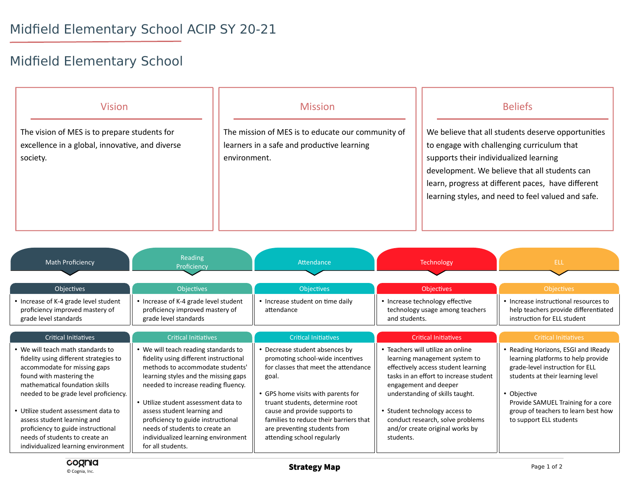## Midfield Elementary School

| <b>Vision</b>                                                                                               | <b>Mission</b>                                                                                                  | <b>Beliefs</b>                                                                                                                                                                                                                                                                                          |
|-------------------------------------------------------------------------------------------------------------|-----------------------------------------------------------------------------------------------------------------|---------------------------------------------------------------------------------------------------------------------------------------------------------------------------------------------------------------------------------------------------------------------------------------------------------|
| The vision of MES is to prepare students for<br>excellence in a global, innovative, and diverse<br>society. | The mission of MES is to educate our community of<br>learners in a safe and productive learning<br>environment. | We believe that all students deserve opportunities<br>to engage with challenging curriculum that<br>supports their individualized learning<br>development. We believe that all students can<br>learn, progress at different paces, have different<br>learning styles, and need to feel valued and safe. |

| Math Proficiency                                                                                                                                                                                                                                                                                                                                                                                         | Reading<br>Proficiency                                                                                                                                                                                                                                                                                                                                                                                       | Attendance                                                                                                                                                                                                                                                                                                                            | <b>Technology</b>                                                                                                                                                                                                                                                                                                                     | <b>ELL</b>                                                                                                                                                                                                                                                              |
|----------------------------------------------------------------------------------------------------------------------------------------------------------------------------------------------------------------------------------------------------------------------------------------------------------------------------------------------------------------------------------------------------------|--------------------------------------------------------------------------------------------------------------------------------------------------------------------------------------------------------------------------------------------------------------------------------------------------------------------------------------------------------------------------------------------------------------|---------------------------------------------------------------------------------------------------------------------------------------------------------------------------------------------------------------------------------------------------------------------------------------------------------------------------------------|---------------------------------------------------------------------------------------------------------------------------------------------------------------------------------------------------------------------------------------------------------------------------------------------------------------------------------------|-------------------------------------------------------------------------------------------------------------------------------------------------------------------------------------------------------------------------------------------------------------------------|
| <b>Objectives</b>                                                                                                                                                                                                                                                                                                                                                                                        | <b>Objectives</b>                                                                                                                                                                                                                                                                                                                                                                                            | <b>Objectives</b>                                                                                                                                                                                                                                                                                                                     | <b>Objectives</b>                                                                                                                                                                                                                                                                                                                     | <b>Objectives</b>                                                                                                                                                                                                                                                       |
| • Increase of K-4 grade level student<br>proficiency improved mastery of<br>grade level standards                                                                                                                                                                                                                                                                                                        | • Increase of K-4 grade level student<br>proficiency improved mastery of<br>grade level standards                                                                                                                                                                                                                                                                                                            | • Increase student on time daily<br>attendance                                                                                                                                                                                                                                                                                        | • Increase technology effective<br>technology usage among teachers<br>and students.                                                                                                                                                                                                                                                   | • Increase instructional resources to<br>help teachers provide differentiated<br>instruction for ELL student                                                                                                                                                            |
| <b>Critical Initiatives</b>                                                                                                                                                                                                                                                                                                                                                                              | <b>Critical Initiatives</b>                                                                                                                                                                                                                                                                                                                                                                                  | <b>Critical Initiatives</b>                                                                                                                                                                                                                                                                                                           | <b>Critical Initiatives</b>                                                                                                                                                                                                                                                                                                           | <b>Critical Initiatives</b>                                                                                                                                                                                                                                             |
| • We will teach math standards to<br>fidelity using different strategies to<br>accommodate for missing gaps<br>found with mastering the<br>mathematical foundation skills<br>needed to be grade level proficiency.<br>• Utilize student assessment data to<br>assess student learning and<br>proficiency to guide instructional<br>needs of students to create an<br>individualized learning environment | • We will teach reading standards to<br>fidelity using different instructional<br>methods to accommodate students'<br>learning styles and the missing gaps<br>needed to increase reading fluency.<br>• Utilize student assessment data to<br>assess student learning and<br>proficiency to guide instructional<br>needs of students to create an<br>individualized learning environment<br>for all students. | • Decrease student absences by<br>promoting school-wide incentives<br>for classes that meet the attendance<br>goal.<br>• GPS home visits with parents for<br>truant students, determine root<br>cause and provide supports to<br>families to reduce their barriers that<br>are preventing students from<br>attending school regularly | • Teachers will utilize an online<br>learning management system to<br>effectively access student learning<br>tasks in an effort to increase student<br>engagement and deeper<br>understanding of skills taught.<br>• Student technology access to<br>conduct research, solve problems<br>and/or create original works by<br>students. | • Reading Horizons, ESGI and IReady<br>learning platforms to help provide<br>grade-level instruction for ELL<br>students at their learning level<br>• Objective<br>Provide SAMUEL Training for a core<br>group of teachers to learn best how<br>to support ELL students |